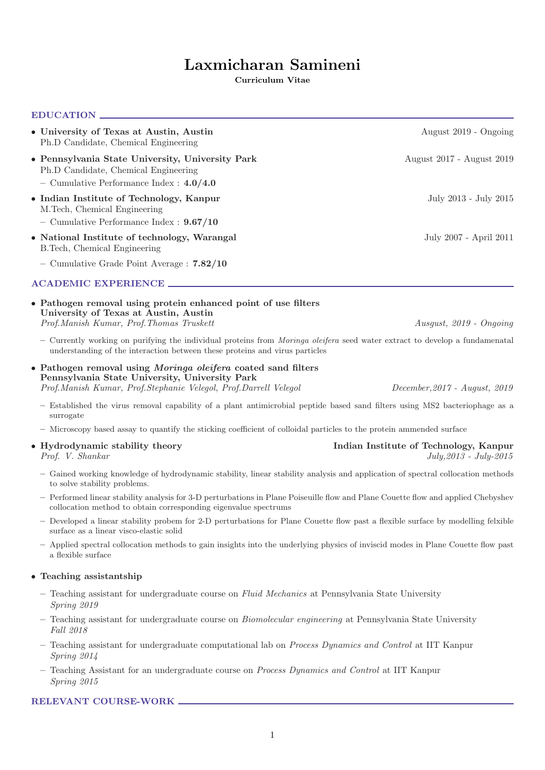# Laxmicharan Samineni

Curriculum Vitae

# EDUCATION

| • University of Texas at Austin, Austin<br>Ph.D Candidate, Chemical Engineering                                                                      | August 2019 - Ongoing     |
|------------------------------------------------------------------------------------------------------------------------------------------------------|---------------------------|
| • Pennsylvania State University, University Park<br>Ph.D Candidate, Chemical Engineering<br>- Cumulative Performance Index : $4.0/4.0$               | August 2017 - August 2019 |
| • Indian Institute of Technology, Kanpur<br>M. Tech, Chemical Engineering                                                                            | July 2013 - July 2015     |
| - Cumulative Performance Index : $9.67/10$                                                                                                           |                           |
| • National Institute of technology, Warangal<br>B. Tech, Chemical Engineering                                                                        | July 2007 - April 2011    |
| - Cumulative Grade Point Average: 7.82/10                                                                                                            |                           |
| <b>ACADEMIC EXPERIENCE</b>                                                                                                                           |                           |
| • Pathogen removal using protein enhanced point of use filters<br>University of Texas at Austin, Austin<br>Prof. Manish Kumar, Prof. Thomas Truskett | Ausgust, $2019$ - Ongoing |

– Currently working on purifying the individual proteins from Moringa oleifera seed water extract to develop a fundamenatal understanding of the interaction between these proteins and virus particles

• Pathogen removal using Moringa oleifera coated sand filters Pennsylvania State University, University Park Prof.Manish Kumar, Prof.Stephanie Velegol, Prof.Darrell Velegol December,2017 - August, 2019

- Established the virus removal capability of a plant antimicrobial peptide based sand filters using MS2 bacteriophage as a surrogate
- Microscopy based assay to quantify the sticking coefficient of colloidal particles to the protein ammended surface

#### • Hydrodynamic stability theory **Indian Institute of Technology, Kanpur** Prof. V. Shankar July,2013 - July-2015

- Gained working knowledge of hydrodynamic stability, linear stability analysis and application of spectral collocation methods to solve stability problems.
- Performed linear stability analysis for 3-D perturbations in Plane Poiseuille flow and Plane Couette flow and applied Chebyshev collocation method to obtain corresponding eigenvalue spectrums
- Developed a linear stability probem for 2-D perturbations for Plane Couette flow past a flexible surface by modelling felxible surface as a linear visco-elastic solid
- Applied spectral collocation methods to gain insights into the underlying physics of inviscid modes in Plane Couette flow past a flexible surface

# • Teaching assistantship

- Teaching assistant for undergraduate course on Fluid Mechanics at Pennsylvania State University Spring 2019
- Teaching assistant for undergraduate course on Biomolecular engineering at Pennsylvania State University Fall 2018
- Teaching assistant for undergraduate computational lab on Process Dynamics and Control at IIT Kanpur Spring 2014
- Teaching Assistant for an undergraduate course on Process Dynamics and Control at IIT Kanpur Spring 2015

# RELEVANT COURSE-WORK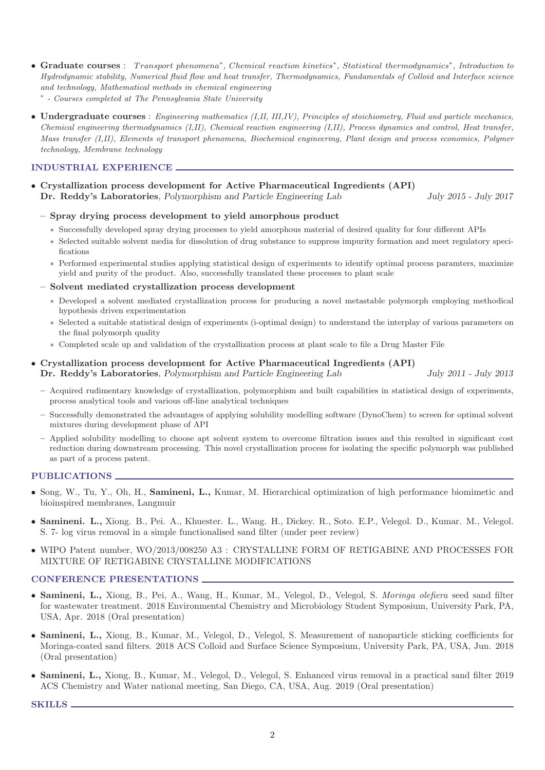- Graduate courses : Transport phenomena<sup>\*</sup>, Chemical reaction kinetics<sup>\*</sup>, Statistical thermodynamics<sup>\*</sup>, Introduction to Hydrodynamic stability, Numerical fluid flow and heat transfer, Thermodynamics, Fundamentals of Colloid and Interface science and technology, Mathematical methods in chemical engineering
	- ∗ Courses completed at The Pennsylvania State University
- Undergraduate courses : Engineering mathematics (I,II, III,IV), Principles of stoichiometry, Fluid and particle mechanics, Chemical engineering thermodynamics (I,II), Chemical reaction engineering (I,II), Process dynamics and control, Heat transfer, Mass transfer (I,II), Elements of transport phenomena, Biochemical engineering, Plant design and process economics, Polymer technology, Membrane technology

# INDUSTRIAL EXPERIENCE

• Crystallization process development for Active Pharmaceutical Ingredients (API) Dr. Reddy's Laboratories, Polymorphism and Particle Engineering Lab July 2015 - July 2017

- Spray drying process development to yield amorphous product
	- ∗ Successfully developed spray drying processes to yield amorphous material of desired quality for four different APIs
	- ∗ Selected suitable solvent media for dissolution of drug substance to suppress impurity formation and meet regulatory specifications
	- ∗ Performed experimental studies applying statistical design of experiments to identify optimal process paramters, maximize yield and purity of the product. Also, successfully translated these processes to plant scale
- Solvent mediated crystallization process development
	- ∗ Developed a solvent mediated crystallization process for producing a novel metastable polymorph employing methodical hypothesis driven experimentation
	- ∗ Selected a suitable statistical design of experiments (i-optimal design) to understand the interplay of various parameters on the final polymorph quality
	- ∗ Completed scale up and validation of the crystallization process at plant scale to file a Drug Master File

#### • Crystallization process development for Active Pharmaceutical Ingredients (API) Dr. Reddy's Laboratories, Polymorphism and Particle Engineering Lab July 2011 - July 2013

- Acquired rudimentary knowledge of crystallization, polymorphism and built capabilities in statistical design of experiments, process analytical tools and various off-line analytical techniques
- Successfully demonstrated the advantages of applying solubility modelling software (DynoChem) to screen for optimal solvent mixtures during development phase of API
- Applied solubility modelling to choose apt solvent system to overcome filtration issues and this resulted in significant cost reduction during downstream processing. This novel crystallization process for isolating the specific polymorph was published as part of a process patent.

#### PUBLICATIONS

- Song, W., Tu, Y., Oh, H., Samineni, L., Kumar, M. Hierarchical optimization of high performance biomimetic and bioinspired membranes, Langmuir
- Samineni. L., Xiong. B., Pei. A., Khuester. L., Wang. H., Dickey. R., Soto. E.P., Velegol. D., Kumar. M., Velegol. S. 7- log virus removal in a simple functionalised sand filter (under peer review)
- WIPO Patent number, WO/2013/008250 A3 : CRYSTALLINE FORM OF RETIGABINE AND PROCESSES FOR MIXTURE OF RETIGABINE CRYSTALLINE MODIFICATIONS

#### CONFERENCE PRESENTATIONS

- Samineni, L., Xiong, B., Pei, A., Wang, H., Kumar, M., Velegol, D., Velegol, S. Moringa olefiera seed sand filter for wastewater treatment. 2018 Environmental Chemistry and Microbiology Student Symposium, University Park, PA, USA, Apr. 2018 (Oral presentation)
- Samineni, L., Xiong, B., Kumar, M., Velegol, D., Velegol, S. Measurement of nanoparticle sticking coefficients for Moringa-coated sand filters. 2018 ACS Colloid and Surface Science Symposium, University Park, PA, USA, Jun. 2018 (Oral presentation)
- Samineni, L., Xiong, B., Kumar, M., Velegol, D., Velegol, S. Enhanced virus removal in a practical sand filter 2019 ACS Chemistry and Water national meeting, San Diego, CA, USA, Aug. 2019 (Oral presentation)

SKILLS